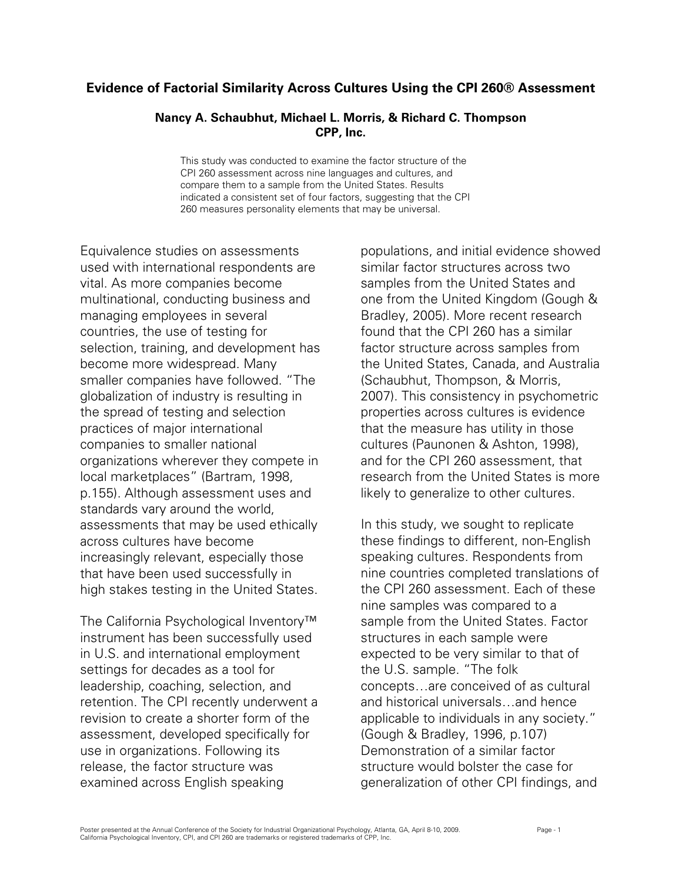## **Evidence of Factorial Similarity Across Cultures Using the CPI 260® Assessment**

## **Nancy A. Schaubhut, Michael L. Morris, & Richard C. Thompson CPP, Inc.**

This study was conducted to examine the factor structure of the CPI 260 assessment across nine languages and cultures, and compare them to a sample from the United States. Results indicated a consistent set of four factors, suggesting that the CPI 260 measures personality elements that may be universal.

Equivalence studies on assessments used with international respondents are vital. As more companies become multinational, conducting business and managing employees in several countries, the use of testing for selection, training, and development has become more widespread. Many smaller companies have followed. "The globalization of industry is resulting in the spread of testing and selection practices of major international companies to smaller national organizations wherever they compete in local marketplaces" (Bartram, 1998, p.155). Although assessment uses and standards vary around the world, assessments that may be used ethically across cultures have become increasingly relevant, especially those that have been used successfully in high stakes testing in the United States.

The California Psychological Inventory™ instrument has been successfully used in U.S. and international employment settings for decades as a tool for leadership, coaching, selection, and retention. The CPI recently underwent a revision to create a shorter form of the assessment, developed specifically for use in organizations. Following its release, the factor structure was examined across English speaking

populations, and initial evidence showed similar factor structures across two samples from the United States and one from the United Kingdom (Gough & Bradley, 2005). More recent research found that the CPI 260 has a similar factor structure across samples from the United States, Canada, and Australia (Schaubhut, Thompson, & Morris, 2007). This consistency in psychometric properties across cultures is evidence that the measure has utility in those cultures (Paunonen & Ashton, 1998), and for the CPI 260 assessment, that research from the United States is more likely to generalize to other cultures.

In this study, we sought to replicate these findings to different, non-English speaking cultures. Respondents from nine countries completed translations of the CPI 260 assessment. Each of these nine samples was compared to a sample from the United States. Factor structures in each sample were expected to be very similar to that of the U.S. sample. "The folk concepts…are conceived of as cultural and historical universals…and hence applicable to individuals in any society." (Gough & Bradley, 1996, p.107) Demonstration of a similar factor structure would bolster the case for generalization of other CPI findings, and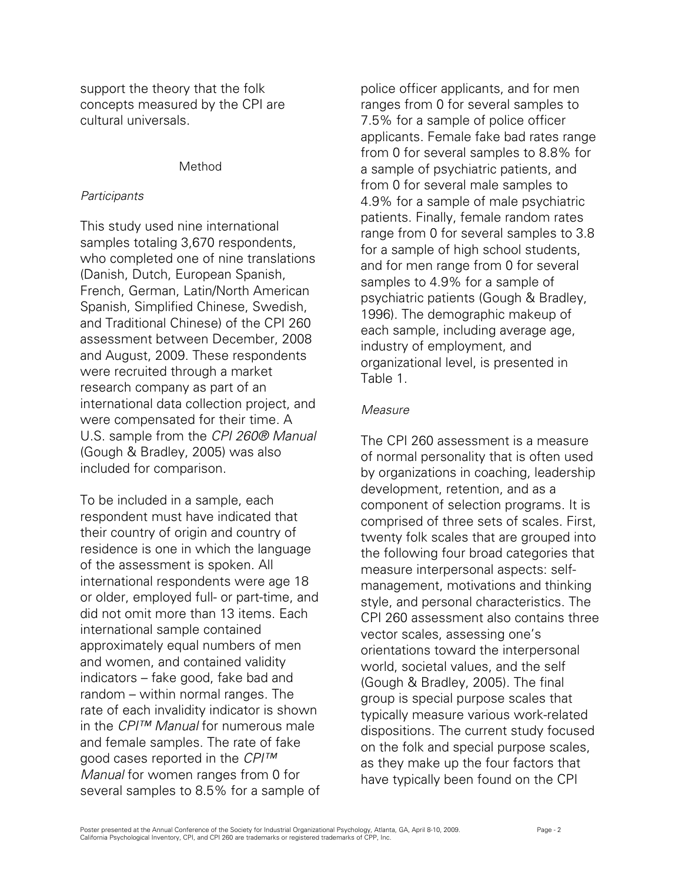support the theory that the folk concepts measured by the CPI are cultural universals.

## Method

## *Participants*

This study used nine international samples totaling 3,670 respondents, who completed one of nine translations (Danish, Dutch, European Spanish, French, German, Latin/North American Spanish, Simplified Chinese, Swedish, and Traditional Chinese) of the CPI 260 assessment between December, 2008 and August, 2009. These respondents were recruited through a market research company as part of an international data collection project, and were compensated for their time. A U.S. sample from the *CPI 260® Manual*  (Gough & Bradley, 2005) was also included for comparison.

To be included in a sample, each respondent must have indicated that their country of origin and country of residence is one in which the language of the assessment is spoken. All international respondents were age 18 or older, employed full- or part-time, and did not omit more than 13 items. Each international sample contained approximately equal numbers of men and women, and contained validity indicators – fake good, fake bad and random – within normal ranges. The rate of each invalidity indicator is shown in the *CPI™ Manual* for numerous male and female samples. The rate of fake good cases reported in the *CPI™ Manual* for women ranges from 0 for several samples to 8.5% for a sample of

police officer applicants, and for men ranges from 0 for several samples to 7.5% for a sample of police officer applicants. Female fake bad rates range from 0 for several samples to 8.8% for a sample of psychiatric patients, and from 0 for several male samples to 4.9% for a sample of male psychiatric patients. Finally, female random rates range from 0 for several samples to 3.8 for a sample of high school students, and for men range from 0 for several samples to 4.9% for a sample of psychiatric patients (Gough & Bradley, 1996). The demographic makeup of each sample, including average age, industry of employment, and organizational level, is presented in Table 1.

## *Measure*

The CPI 260 assessment is a measure of normal personality that is often used by organizations in coaching, leadership development, retention, and as a component of selection programs. It is comprised of three sets of scales. First, twenty folk scales that are grouped into the following four broad categories that measure interpersonal aspects: selfmanagement, motivations and thinking style, and personal characteristics. The CPI 260 assessment also contains three vector scales, assessing one's orientations toward the interpersonal world, societal values, and the self (Gough & Bradley, 2005). The final group is special purpose scales that typically measure various work-related dispositions. The current study focused on the folk and special purpose scales, as they make up the four factors that have typically been found on the CPI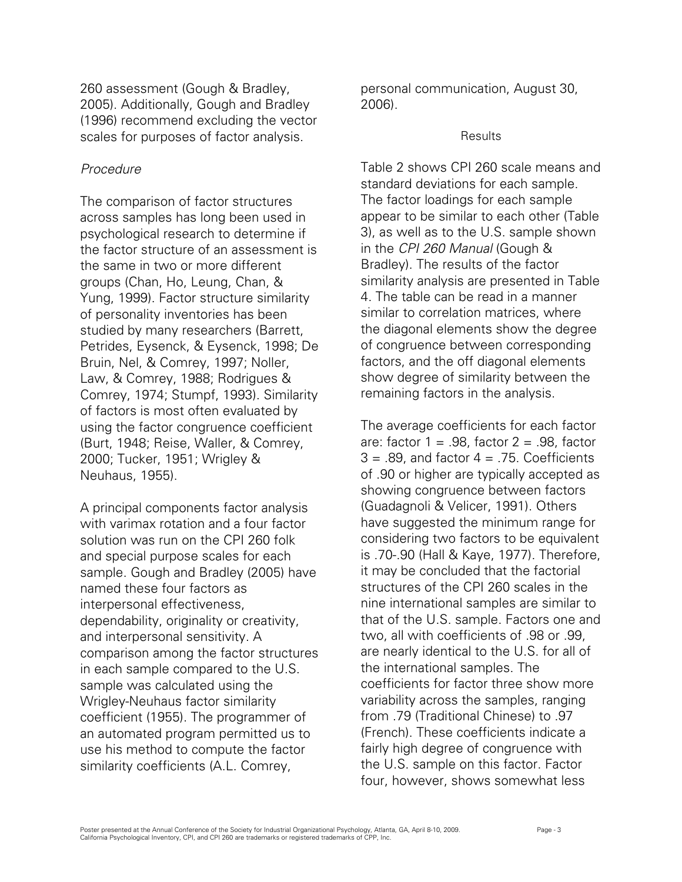260 assessment (Gough & Bradley, 2005). Additionally, Gough and Bradley (1996) recommend excluding the vector scales for purposes of factor analysis.

## *Procedure*

The comparison of factor structures across samples has long been used in psychological research to determine if the factor structure of an assessment is the same in two or more different groups (Chan, Ho, Leung, Chan, & Yung, 1999). Factor structure similarity of personality inventories has been studied by many researchers (Barrett, Petrides, Eysenck, & Eysenck, 1998; De Bruin, Nel, & Comrey, 1997; Noller, Law, & Comrey, 1988; Rodrigues & Comrey, 1974; Stumpf, 1993). Similarity of factors is most often evaluated by using the factor congruence coefficient (Burt, 1948; Reise, Waller, & Comrey, 2000; Tucker, 1951; Wrigley & Neuhaus, 1955).

A principal components factor analysis with varimax rotation and a four factor solution was run on the CPI 260 folk and special purpose scales for each sample. Gough and Bradley (2005) have named these four factors as interpersonal effectiveness, dependability, originality or creativity, and interpersonal sensitivity. A comparison among the factor structures in each sample compared to the U.S. sample was calculated using the Wrigley-Neuhaus factor similarity coefficient (1955). The programmer of an automated program permitted us to use his method to compute the factor similarity coefficients (A.L. Comrey,

personal communication, August 30, 2006).

## **Results**

Table 2 shows CPI 260 scale means and standard deviations for each sample. The factor loadings for each sample appear to be similar to each other (Table 3), as well as to the U.S. sample shown in the *CPI 260 Manual* (Gough & Bradley). The results of the factor similarity analysis are presented in Table 4. The table can be read in a manner similar to correlation matrices, where the diagonal elements show the degree of congruence between corresponding factors, and the off diagonal elements show degree of similarity between the remaining factors in the analysis.

The average coefficients for each factor are: factor  $1 = .98$ , factor  $2 = .98$ , factor  $3 = .89$ , and factor  $4 = .75$ . Coefficients of .90 or higher are typically accepted as showing congruence between factors (Guadagnoli & Velicer, 1991). Others have suggested the minimum range for considering two factors to be equivalent is .70-.90 (Hall & Kaye, 1977). Therefore, it may be concluded that the factorial structures of the CPI 260 scales in the nine international samples are similar to that of the U.S. sample. Factors one and two, all with coefficients of .98 or .99, are nearly identical to the U.S. for all of the international samples. The coefficients for factor three show more variability across the samples, ranging from .79 (Traditional Chinese) to .97 (French). These coefficients indicate a fairly high degree of congruence with the U.S. sample on this factor. Factor four, however, shows somewhat less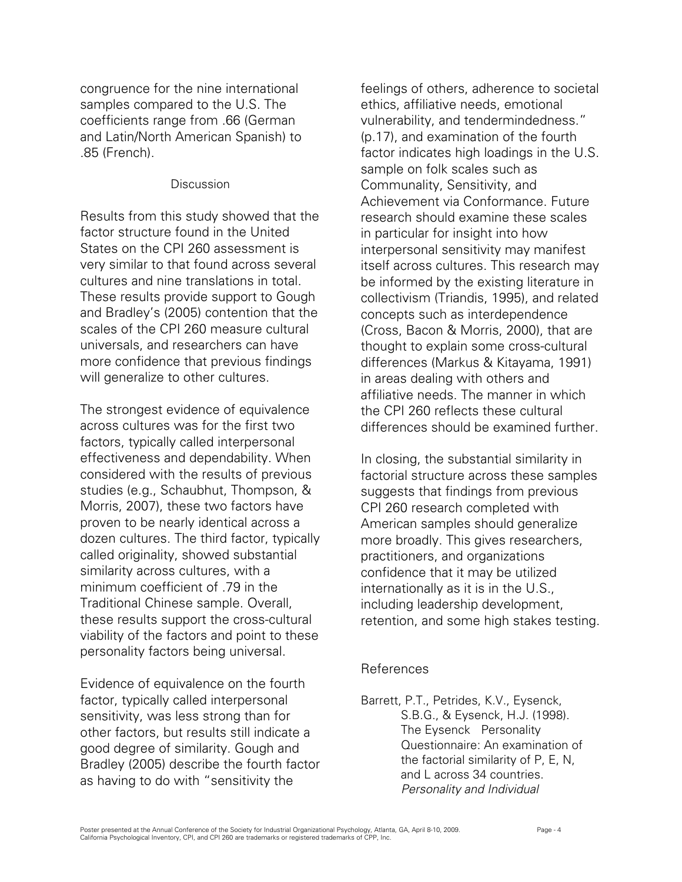congruence for the nine international samples compared to the U.S. The coefficients range from .66 (German and Latin/North American Spanish) to .85 (French).

## **Discussion**

Results from this study showed that the factor structure found in the United States on the CPI 260 assessment is very similar to that found across several cultures and nine translations in total. These results provide support to Gough and Bradley's (2005) contention that the scales of the CPI 260 measure cultural universals, and researchers can have more confidence that previous findings will generalize to other cultures.

The strongest evidence of equivalence across cultures was for the first two factors, typically called interpersonal effectiveness and dependability. When considered with the results of previous studies (e.g., Schaubhut, Thompson, & Morris, 2007), these two factors have proven to be nearly identical across a dozen cultures. The third factor, typically called originality, showed substantial similarity across cultures, with a minimum coefficient of .79 in the Traditional Chinese sample. Overall, these results support the cross-cultural viability of the factors and point to these personality factors being universal.

Evidence of equivalence on the fourth factor, typically called interpersonal sensitivity, was less strong than for other factors, but results still indicate a good degree of similarity. Gough and Bradley (2005) describe the fourth factor as having to do with "sensitivity the

feelings of others, adherence to societal ethics, affiliative needs, emotional vulnerability, and tendermindedness." (p.17), and examination of the fourth factor indicates high loadings in the U.S. sample on folk scales such as Communality, Sensitivity, and Achievement via Conformance. Future research should examine these scales in particular for insight into how interpersonal sensitivity may manifest itself across cultures. This research may be informed by the existing literature in collectivism (Triandis, 1995), and related concepts such as interdependence (Cross, Bacon & Morris, 2000), that are thought to explain some cross-cultural differences (Markus & Kitayama, 1991) in areas dealing with others and affiliative needs. The manner in which the CPI 260 reflects these cultural differences should be examined further.

In closing, the substantial similarity in factorial structure across these samples suggests that findings from previous CPI 260 research completed with American samples should generalize more broadly. This gives researchers, practitioners, and organizations confidence that it may be utilized internationally as it is in the U.S., including leadership development, retention, and some high stakes testing.

## References

Barrett, P.T., Petrides, K.V., Eysenck, S.B.G., & Eysenck, H.J. (1998). The Eysenck Personality Questionnaire: An examination of the factorial similarity of P, E, N, and L across 34 countries. *Personality and Individual*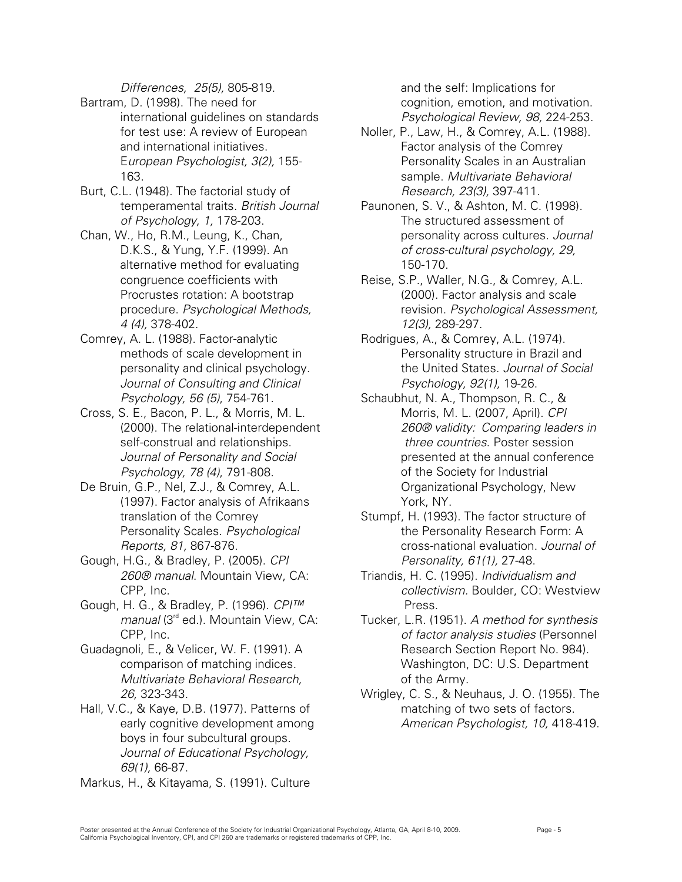*Differences, 25(5),* 805-819.

- Bartram, D. (1998). The need for international guidelines on standards for test use: A review of European and international initiatives. E*uropean Psychologist, 3(2),* 155- 163.
- Burt, C.L. (1948). The factorial study of temperamental traits. *British Journal of Psychology, 1,* 178-203.
- Chan, W., Ho, R.M., Leung, K., Chan, D.K.S., & Yung, Y.F. (1999). An alternative method for evaluating congruence coefficients with Procrustes rotation: A bootstrap procedure. *Psychological Methods, 4 (4),* 378-402.
- Comrey, A. L. (1988). Factor-analytic methods of scale development in personality and clinical psychology. *Journal of Consulting and Clinical Psychology, 56 (5)*, 754-761.
- Cross, S. E., Bacon, P. L., & Morris, M. L. (2000). The relational-interdependent self-construal and relationships. *Journal of Personality and Social Psychology, 78 (4)*, 791-808.
- De Bruin, G.P., Nel, Z.J., & Comrey, A.L. (1997). Factor analysis of Afrikaans translation of the Comrey Personality Scales. *Psychological Reports, 81,* 867-876.
- Gough, H.G., & Bradley, P. (2005). *CPI 260® manual*. Mountain View, CA: CPP, Inc.
- Gough, H. G., & Bradley, P. (1996). *CPI™ manual* (3<sup>rd</sup> ed.). Mountain View, CA: CPP, Inc.
- Guadagnoli, E., & Velicer, W. F. (1991). A comparison of matching indices. *Multivariate Behavioral Research, 26,* 323-343.
- Hall, V.C., & Kaye, D.B. (1977). Patterns of early cognitive development among boys in four subcultural groups. *Journal of Educational Psychology, 69(1),* 66-87.
- Markus, H., & Kitayama, S. (1991). Culture

and the self: Implications for cognition, emotion, and motivation. *Psychological Review, 98,* 224-253.

- Noller, P., Law, H., & Comrey, A.L. (1988). Factor analysis of the Comrey Personality Scales in an Australian sample. *Multivariate Behavioral Research, 23(3),* 397-411.
- Paunonen, S. V., & Ashton, M. C. (1998). The structured assessment of personality across cultures. *Journal of cross-cultural psychology, 29,* 150-170.
- Reise, S.P., Waller, N.G., & Comrey, A.L. (2000). Factor analysis and scale revision. *Psychological Assessment, 12(3),* 289-297.
- Rodrigues, A., & Comrey, A.L. (1974). Personality structure in Brazil and the United States. *Journal of Social Psychology, 92(1),* 19-26.
- Schaubhut, N. A., Thompson, R. C., & Morris, M. L. (2007, April). *CPI 260® validity: Comparing leaders in three countries*. Poster session presented at the annual conference of the Society for Industrial Organizational Psychology, New York, NY.
- Stumpf, H. (1993). The factor structure of the Personality Research Form: A cross-national evaluation. *Journal of Personality, 61(1),* 27-48.
- Triandis, H. C. (1995). *Individualism and collectivism.* Boulder, CO: Westview Press.
- Tucker, L.R. (1951). *A method for synthesis of factor analysis studies* (Personnel Research Section Report No. 984). Washington, DC: U.S. Department of the Army.
- Wrigley, C. S., & Neuhaus, J. O. (1955). The matching of two sets of factors. *American Psychologist, 10,* 418-419.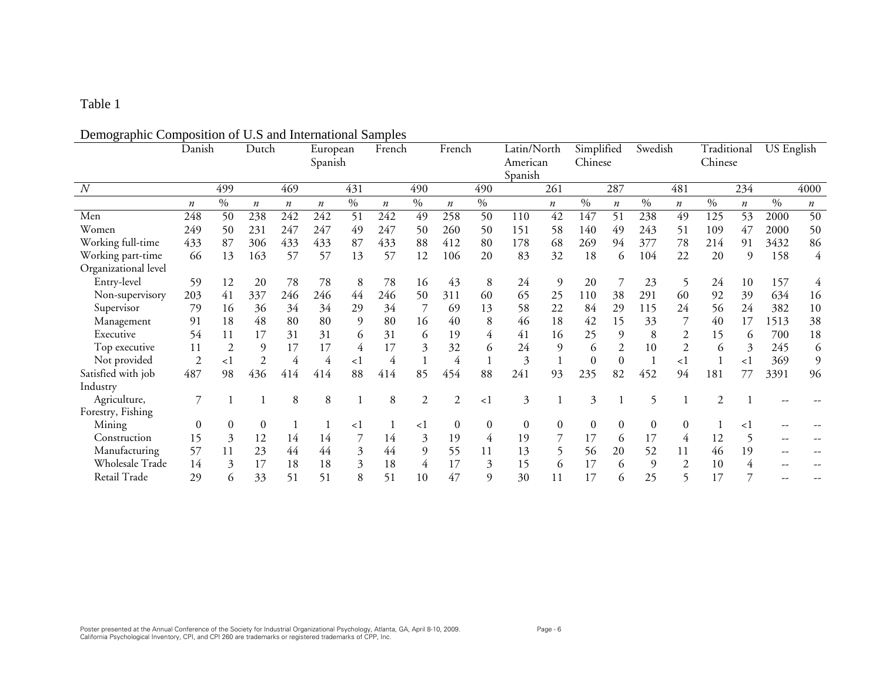# Demographic Composition of U.S and International Samples

| °                    | Danish                  |                | Dutch                   |                         | European<br>Spanish     |          | French                  |          | French                  |          | Latin/North<br>American |                        | Simplified<br>Chinese |                        | Swedish                  |                        | Traditional<br>Chinese |                  | <b>US</b> English |                        |
|----------------------|-------------------------|----------------|-------------------------|-------------------------|-------------------------|----------|-------------------------|----------|-------------------------|----------|-------------------------|------------------------|-----------------------|------------------------|--------------------------|------------------------|------------------------|------------------|-------------------|------------------------|
| N                    |                         | 499            |                         | 469                     |                         | 431      |                         | 490      |                         | 490      | Spanish                 | 261                    |                       | 287                    |                          | 481                    |                        | 234              |                   | 4000                   |
|                      |                         | $0/0$          |                         |                         |                         | $\%$     |                         | $\%$     |                         | $0/0$    |                         |                        | $\frac{0}{0}$         |                        | $\%$                     |                        | $\frac{0}{0}$          | $\boldsymbol{n}$ | $\frac{0}{0}$     |                        |
| Men                  | $\boldsymbol{n}$<br>248 | 50             | $\boldsymbol{n}$<br>238 | $\boldsymbol{n}$<br>242 | $\boldsymbol{n}$<br>242 | 51       | $\boldsymbol{n}$<br>242 | 49       | $\boldsymbol{n}$<br>258 | 50       | 110                     | $\boldsymbol{n}$<br>42 | 147                   | $\boldsymbol{n}$<br>51 | 238                      | $\boldsymbol{n}$<br>49 | 125                    | 53               | 2000              | $\boldsymbol{n}$<br>50 |
| Women                | 249                     | 50             | 231                     | 247                     | 247                     | 49       | 247                     | 50       | 260                     | 50       | 151                     | 58                     | 140                   | 49                     | 243                      | 51                     | 109                    | 47               | 2000              | 50                     |
| Working full-time    | 433                     | 87             | 306                     | 433                     | 433                     | 87       | 433                     | 88       | 412                     | 80       | 178                     | 68                     | 269                   | 94                     | 377                      | 78                     | 214                    | 91               | 3432              | 86                     |
| Working part-time    | 66                      | 13             | 163                     | 57                      | 57                      | 13       | 57                      | 12       | 106                     | 20       | 83                      | 32                     | 18                    |                        | 104                      | 22                     | 20                     | 9                | 158               | 4                      |
| Organizational level |                         |                |                         |                         |                         |          |                         |          |                         |          |                         |                        |                       | 6                      |                          |                        |                        |                  |                   |                        |
| Entry-level          | 59                      | 12             | 20                      | 78                      | 78                      | 8        | 78                      |          | 43                      | 8        | 24                      | $\mathfrak{g}$         | 20                    | 7                      | 23                       |                        | 24                     |                  |                   |                        |
|                      |                         |                |                         |                         |                         |          |                         | 16       |                         |          |                         |                        |                       |                        |                          | 5                      |                        | 10               | 157               | 4                      |
| Non-supervisory      | 203                     | 41             | 337                     | 246                     | 246                     | 44       | 246                     | 50       | 311                     | 60       | 65                      | 25                     | 110                   | 38                     | 291                      | 60                     | 92                     | 39               | 634               | 16                     |
| Supervisor           | 79                      | 16             | 36                      | 34                      | 34                      | 29       | 34                      |          | 69                      | 13       | 58                      | 22                     | 84                    | 29                     | 115                      | 24                     | 56                     | 24               | 382               | 10                     |
| Management           | 91                      | 18             | 48                      | 80                      | 80                      | 9        | 80                      | 16       | 40                      | 8        | 46                      | 18                     | 42                    | 15                     | 33                       |                        | 40                     | 17               | 1513              | 38                     |
| Executive            | 54                      | 11             | 17                      | 31                      | 31                      | 6        | 31                      | 6        | 19                      |          | 41                      | 16                     | 25                    | 9                      | 8                        | 2                      | 15                     | 6                | 700               | 18                     |
| Top executive        | 11                      | $\overline{2}$ | 9                       | 17                      | 17                      | 4        | 17                      | 3        | 32                      | 6        | 24                      | 9                      | 6                     | $\overline{2}$         | 10                       | $\overline{2}$         | 6                      | 3                | 245               | 6                      |
| Not provided         | $\overline{2}$          | <1             | 2                       | 4                       | 4                       | $\leq$ 1 | 4                       |          | 4                       |          | 3                       |                        | $\overline{0}$        | $\boldsymbol{0}$       |                          | $\leq$ 1               | $\mathbf{1}$           | $\leq$ 1         | 369               | 9                      |
| Satisfied with job   | 487                     | 98             | 436                     | 414                     | 414                     | 88       | 414                     | 85       | 454                     | 88       | 241                     | 93                     | 235                   | 82                     | 452                      | 94                     | 181                    | 77               | 3391              | 96                     |
| Industry             |                         |                |                         |                         |                         |          |                         |          |                         |          |                         |                        |                       |                        |                          |                        |                        |                  |                   |                        |
| Agriculture,         | 7                       |                |                         | 8                       | 8                       |          | 8                       | 2        | $\overline{2}$          | $\leq$ 1 | 3                       |                        | 3                     |                        | $\overline{\phantom{0}}$ |                        | $\overline{c}$         |                  |                   |                        |
| Forestry, Fishing    |                         |                |                         |                         |                         |          |                         |          |                         |          |                         |                        |                       |                        |                          |                        |                        |                  |                   |                        |
| Mining               | $\boldsymbol{0}$        | $\theta$       | 0                       |                         |                         | <1       |                         | $\leq$ 1 | $\boldsymbol{0}$        | 0        | $\overline{0}$          | $\boldsymbol{0}$       | $\mathbf{0}$          | $\boldsymbol{0}$       | $\overline{0}$           | $\Omega$               |                        | $\leq$ 1         |                   |                        |
| Construction         | 15                      | 3              | 12                      | 14                      | 14                      |          | 14                      | 3        | 19                      | 4        | 19                      |                        | 17                    | 6                      | 17                       | 4                      | 12                     |                  |                   |                        |
| Manufacturing        | 57                      | 11             | 23                      | 44                      | 44                      | 3        | 44                      | 9        | 55                      | 11       | 13                      | 5                      | 56                    | 20                     | 52                       | 11                     | 46                     | 19               |                   |                        |
| Wholesale Trade      | 14                      | 3              | 17                      | 18                      | 18                      | 3        | 18                      | 4        | 17                      | 3        | 15                      | 6                      | 17                    | 6                      | 9                        |                        | 10                     | 4                |                   |                        |
| Retail Trade         | 29                      | 6              | 33                      | 51                      | 51                      | 8        | 51                      | 10       | 47                      | $\Omega$ | 30                      | 11                     | 17                    | 6                      | 25                       |                        | 17                     |                  |                   |                        |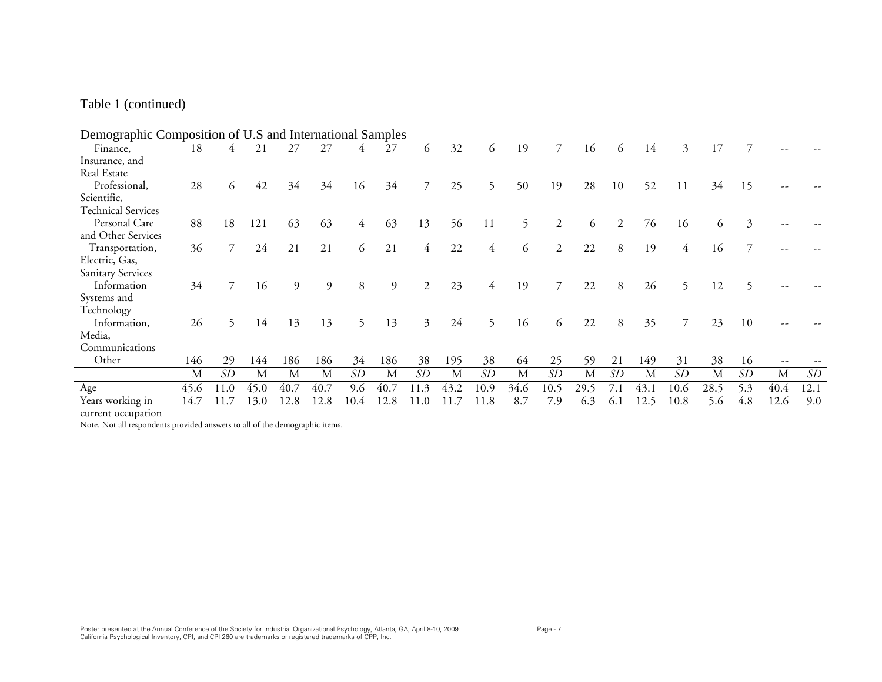## Table 1 (continued)

| Demographic Composition of U.S and International Samples |      |                |      |      |      |      |      |      |          |      |      |                |      |     |      |                |      |     |                          |      |
|----------------------------------------------------------|------|----------------|------|------|------|------|------|------|----------|------|------|----------------|------|-----|------|----------------|------|-----|--------------------------|------|
| Finance,                                                 | 18   | 4              | 21   | 27   | 27   | 4    | 27   | 6    | 32       | 6    | 19   | $\overline{7}$ | 16   | 6   | 14   | $\mathfrak{Z}$ | 17   |     |                          |      |
| Insurance, and                                           |      |                |      |      |      |      |      |      |          |      |      |                |      |     |      |                |      |     |                          |      |
| Real Estate                                              |      |                |      |      |      |      |      |      |          |      |      |                |      |     |      |                |      |     |                          |      |
| Professional,                                            | 28   | 6              | 42   | 34   | 34   | 16   | 34   | 7    | 25       | 5    | 50   | 19             | 28   | 10  | 52   | 11             | 34   | 15  |                          |      |
| Scientific,                                              |      |                |      |      |      |      |      |      |          |      |      |                |      |     |      |                |      |     |                          |      |
| <b>Technical Services</b>                                |      |                |      |      |      |      |      |      |          |      |      |                |      |     |      |                |      |     |                          |      |
| Personal Care                                            | 88   | 18             | 121  | 63   | 63   | 4    | 63   | 13   | 56       | 11   | 5.   | 2              | 6    | 2   | 76   | 16             | 6    | 3   |                          |      |
| and Other Services                                       |      |                |      |      |      |      |      |      |          |      |      |                |      |     |      |                |      |     |                          |      |
| Transportation,                                          | 36   |                | 24   | 21   | 21   | 6    | 21   | 4    | 22       | 4    | 6    | 2              | 22   | 8   | 19   | 4              | 16   |     |                          |      |
| Electric, Gas,                                           |      |                |      |      |      |      |      |      |          |      |      |                |      |     |      |                |      |     |                          |      |
| <b>Sanitary Services</b>                                 |      |                |      |      |      |      |      |      |          |      |      |                |      |     |      |                |      |     |                          |      |
| Information                                              | 34   | $\overline{7}$ | 16   | 9    | 9    | 8    | 9    | 2    | 23       | 4    | 19   | $\overline{7}$ | 22   | 8   | 26   | 5              | 12   | 5   |                          |      |
| Systems and                                              |      |                |      |      |      |      |      |      |          |      |      |                |      |     |      |                |      |     |                          |      |
| Technology                                               |      |                |      |      |      |      |      |      |          |      |      |                |      |     |      |                |      |     |                          |      |
| Information,                                             | 26   | 5.             | 14   | 13   | 13   | 5    | 13   | 3    | 24       | 5    | 16   | 6              | 22   | 8   | 35   | 7              | 23   | 10  |                          |      |
| Media,                                                   |      |                |      |      |      |      |      |      |          |      |      |                |      |     |      |                |      |     |                          |      |
| Communications                                           |      |                |      |      |      |      |      |      |          |      |      |                |      |     |      |                |      |     |                          |      |
| Other                                                    | 146  | 29             | 144  | 186  | 186  | 34   | 186  | 38   | 195      | 38   | 64   | 25             | 59   | 21  | 149  | 31             | 38   | 16  | $\overline{\phantom{m}}$ |      |
|                                                          | М    | SD             | M    | M    | M    | SD   | M    | SD   | M        | SD   | M    | SD             | M    | SD  | М    | SD             | M    | SD  | M                        | SD   |
| Age                                                      | 45.6 | 11.0           | 45.0 | 40.7 | 40.7 | 9.6  | 40.7 | 11.3 | 43.2     | 10.9 | 34.6 | 10.5           | 29.5 | 7.1 | 43.1 | 10.6           | 28.5 | 5.3 | 40.4                     | 12.1 |
| Years working in                                         | 14.7 | 11.7           | 13.0 | 12.8 | 12.8 | 10.4 | 12.8 | 11.0 | .7<br>11 | 11.8 | 8.7  | 7.9            | 6.3  | 6.1 | 12.5 | 10.8           | 5.6  | 4.8 | 12.6                     | 9.0  |
| current occupation                                       |      |                |      |      |      |      |      |      |          |      |      |                |      |     |      |                |      |     |                          |      |

Note. Not all respondents provided answers to all of the demographic items.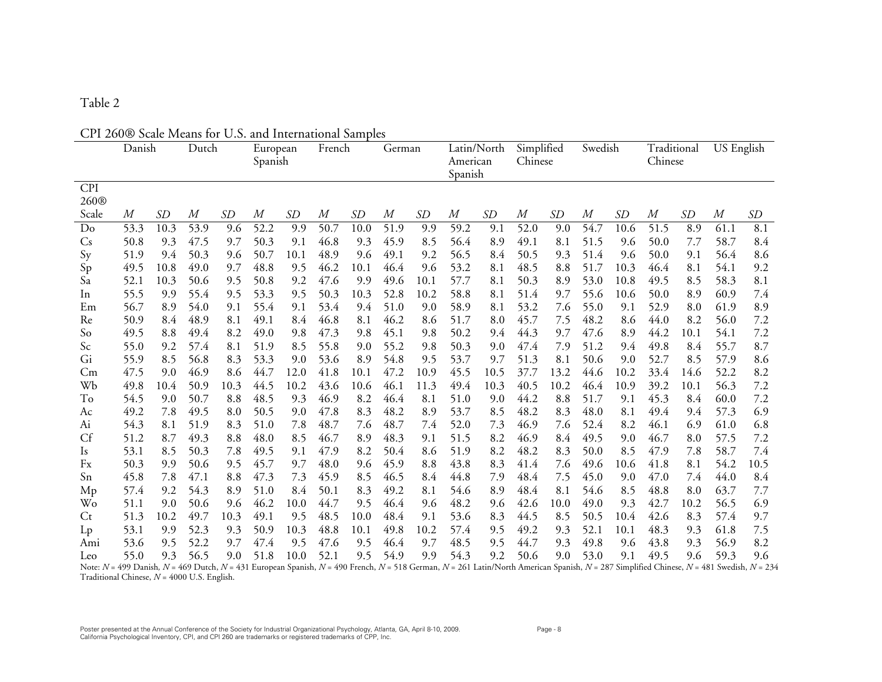## CPI 260® Scale Means for U.S. and International Samples

|                                               | Danish |      | Dutch |           | European<br>Spanish |           | French |      | German |           | American<br>Spanish | Latin/North | Simplified<br>Chinese |      | Swedish  |           | Traditional<br>Chinese |           | $\overline{US}$ English |                                                                                                                                                                                                             |
|-----------------------------------------------|--------|------|-------|-----------|---------------------|-----------|--------|------|--------|-----------|---------------------|-------------|-----------------------|------|----------|-----------|------------------------|-----------|-------------------------|-------------------------------------------------------------------------------------------------------------------------------------------------------------------------------------------------------------|
| <b>CPI</b>                                    |        |      |       |           |                     |           |        |      |        |           |                     |             |                       |      |          |           |                        |           |                         |                                                                                                                                                                                                             |
| 260 <sup>®</sup>                              |        |      |       |           |                     |           |        |      |        |           |                     |             |                       |      |          |           |                        |           |                         |                                                                                                                                                                                                             |
| Scale                                         | М      | SD   | М     | <b>SD</b> | М                   | <b>SD</b> | M      | SD   | М      | <i>SD</i> | М                   | SD          | M                     | SD   | $\it{M}$ | <i>SD</i> | М                      | <i>SD</i> | М                       | SD                                                                                                                                                                                                          |
| Do                                            | 53.3   | 10.3 | 53.9  | 9.6       | 52.2                | 9.9       | 50.7   | 10.0 | 51.9   | 9.9       | 59.2                | 9.1         | 52.0                  | 9.0  | 54.7     | 10.6      | 51.5                   | 8.9       | 61.1                    | 8.1                                                                                                                                                                                                         |
| $\mathsf{C}\mathsf{s}$                        | 50.8   | 9.3  | 47.5  | 9.7       | 50.3                | 9.1       | 46.8   | 9.3  | 45.9   | 8.5       | 56.4                | 8.9         | 49.1                  | 8.1  | 51.5     | 9.6       | 50.0                   | 7.7       | 58.7                    | 8.4                                                                                                                                                                                                         |
| Sy                                            | 51.9   | 9.4  | 50.3  | 9.6       | 50.7                | 10.1      | 48.9   | 9.6  | 49.1   | 9.2       | 56.5                | 8.4         | 50.5                  | 9.3  | 51.4     | 9.6       | 50.0                   | 9.1       | 56.4                    | 8.6                                                                                                                                                                                                         |
| Sp                                            | 49.5   | 10.8 | 49.0  | 9.7       | 48.8                | 9.5       | 46.2   | 10.1 | 46.4   | 9.6       | 53.2                | 8.1         | 48.5                  | 8.8  | 51.7     | 10.3      | 46.4                   | 8.1       | 54.1                    | 9.2                                                                                                                                                                                                         |
| Sa                                            | 52.1   | 10.3 | 50.6  | 9.5       | 50.8                | 9.2       | 47.6   | 9.9  | 49.6   | 10.1      | 57.7                | 8.1         | 50.3                  | 8.9  | 53.0     | 10.8      | 49.5                   | 8.5       | 58.3                    | 8.1                                                                                                                                                                                                         |
| In                                            | 55.5   | 9.9  | 55.4  | 9.5       | 53.3                | 9.5       | 50.3   | 10.3 | 52.8   | 10.2      | 58.8                | 8.1         | 51.4                  | 9.7  | 55.6     | 10.6      | 50.0                   | 8.9       | 60.9                    | 7.4                                                                                                                                                                                                         |
| Em                                            | 56.7   | 8.9  | 54.0  | 9.1       | 55.4                | 9.1       | 53.4   | 9.4  | 51.0   | 9.0       | 58.9                | 8.1         | 53.2                  | 7.6  | 55.0     | 9.1       | 52.9                   | 8.0       | 61.9                    | 8.9                                                                                                                                                                                                         |
| Re                                            | 50.9   | 8.4  | 48.9  | 8.1       | 49.1                | 8.4       | 46.8   | 8.1  | 46.2   | 8.6       | 51.7                | 8.0         | 45.7                  | 7.5  | 48.2     | 8.6       | 44.0                   | 8.2       | 56.0                    | 7.2                                                                                                                                                                                                         |
| So                                            | 49.5   | 8.8  | 49.4  | 8.2       | 49.0                | 9.8       | 47.3   | 9.8  | 45.1   | 9.8       | 50.2                | 9.4         | 44.3                  | 9.7  | 47.6     | 8.9       | 44.2                   | 10.1      | 54.1                    | 7.2                                                                                                                                                                                                         |
| Sc                                            | 55.0   | 9.2  | 57.4  | 8.1       | 51.9                | 8.5       | 55.8   | 9.0  | 55.2   | 9.8       | 50.3                | 9.0         | 47.4                  | 7.9  | 51.2     | 9.4       | 49.8                   | 8.4       | 55.7                    | 8.7                                                                                                                                                                                                         |
| Gi                                            | 55.9   | 8.5  | 56.8  | 8.3       | 53.3                | 9.0       | 53.6   | 8.9  | 54.8   | 9.5       | 53.7                | 9.7         | 51.3                  | 8.1  | 50.6     | 9.0       | 52.7                   | 8.5       | 57.9                    | 8.6                                                                                                                                                                                                         |
| Сm                                            | 47.5   | 9.0  | 46.9  | 8.6       | 44.7                | 12.0      | 41.8   | 10.1 | 47.2   | 10.9      | 45.5                | 10.5        | 37.7                  | 13.2 | 44.6     | 10.2      | 33.4                   | 14.6      | 52.2                    | 8.2                                                                                                                                                                                                         |
| Wb                                            | 49.8   | 10.4 | 50.9  | 10.3      | 44.5                | 10.2      | 43.6   | 10.6 | 46.1   | 11.3      | 49.4                | 10.3        | 40.5                  | 10.2 | 46.4     | 10.9      | 39.2                   | 10.1      | 56.3                    | 7.2                                                                                                                                                                                                         |
| To                                            | 54.5   | 9.0  | 50.7  | 8.8       | 48.5                | 9.3       | 46.9   | 8.2  | 46.4   | 8.1       | 51.0                | 9.0         | 44.2                  | 8.8  | 51.7     | 9.1       | 45.3                   | 8.4       | 60.0                    | 7.2                                                                                                                                                                                                         |
| Ac                                            | 49.2   | 7.8  | 49.5  | 8.0       | 50.5                | 9.0       | 47.8   | 8.3  | 48.2   | 8.9       | 53.7                | 8.5         | 48.2                  | 8.3  | 48.0     | 8.1       | 49.4                   | 9.4       | 57.3                    | 6.9                                                                                                                                                                                                         |
| Ai                                            | 54.3   | 8.1  | 51.9  | 8.3       | 51.0                | 7.8       | 48.7   | 7.6  | 48.7   | 7.4       | 52.0                | 7.3         | 46.9                  | 7.6  | 52.4     | 8.2       | 46.1                   | 6.9       | 61.0                    | 6.8                                                                                                                                                                                                         |
| Cf                                            | 51.2   | 8.7  | 49.3  | 8.8       | 48.0                | 8.5       | 46.7   | 8.9  | 48.3   | 9.1       | 51.5                | 8.2         | 46.9                  | 8.4  | 49.5     | 9.0       | 46.7                   | 8.0       | 57.5                    | 7.2                                                                                                                                                                                                         |
| Is                                            | 53.1   | 8.5  | 50.3  | 7.8       | 49.5                | 9.1       | 47.9   | 8.2  | 50.4   | 8.6       | 51.9                | 8.2         | 48.2                  | 8.3  | 50.0     | 8.5       | 47.9                   | 7.8       | 58.7                    | 7.4                                                                                                                                                                                                         |
| Fx                                            | 50.3   | 9.9  | 50.6  | 9.5       | 45.7                | 9.7       | 48.0   | 9.6  | 45.9   | 8.8       | 43.8                | 8.3         | 41.4                  | 7.6  | 49.6     | 10.6      | 41.8                   | 8.1       | 54.2                    | 10.5                                                                                                                                                                                                        |
| Sn                                            | 45.8   | 7.8  | 47.1  | 8.8       | 47.3                | 7.3       | 45.9   | 8.5  | 46.5   | 8.4       | 44.8                | 7.9         | 48.4                  | 7.5  | 45.0     | 9.0       | 47.0                   | 7.4       | 44.0                    | 8.4                                                                                                                                                                                                         |
| Mp                                            | 57.4   | 9.2  | 54.3  | 8.9       | 51.0                | 8.4       | 50.1   | 8.3  | 49.2   | 8.1       | 54.6                | 8.9         | 48.4                  | 8.1  | 54.6     | 8.5       | 48.8                   | 8.0       | 63.7                    | 7.7                                                                                                                                                                                                         |
| Wo                                            | 51.1   | 9.0  | 50.6  | 9.6       | 46.2                | 10.0      | 44.7   | 9.5  | 46.4   | 9.6       | 48.2                | 9.6         | 42.6                  | 10.0 | 49.0     | 9.3       | 42.7                   | 10.2      | 56.5                    | 6.9                                                                                                                                                                                                         |
| Ct                                            | 51.3   | 10.2 | 49.7  | 10.3      | 49.1                | 9.5       | 48.5   | 10.0 | 48.4   | 9.1       | 53.6                | 8.3         | 44.5                  | 8.5  | 50.5     | 10.4      | 42.6                   | 8.3       | 57.4                    | 9.7                                                                                                                                                                                                         |
| $L_{p}$                                       | 53.1   | 9.9  | 52.3  | 9.3       | 50.9                | 10.3      | 48.8   | 10.1 | 49.8   | 10.2      | 57.4                | 9.5         | 49.2                  | 9.3  | 52.1     | 10.1      | 48.3                   | 9.3       | 61.8                    | 7.5                                                                                                                                                                                                         |
| Ami                                           | 53.6   | 9.5  | 52.2  | 9.7       | 47.4                | 9.5       | 47.6   | 9.5  | 46.4   | 9.7       | 48.5                | 9.5         | 44.7                  | 9.3  | 49.8     | 9.6       | 43.8                   | 9.3       | 56.9                    | 8.2                                                                                                                                                                                                         |
| Leo                                           | 55.0   | 9.3  | 56.5  | 9.0       | 51.8                | 10.0      | 52.1   | 9.5  | 54.9   | 9.9       | 54.3                | 9.2         | 50.6                  | 9.0  | 53.0     | 9.1       | 49.5                   | 9.6       | 59.3                    | 9.6                                                                                                                                                                                                         |
| Traditional Chinese, $N = 4000$ U.S. English. |        |      |       |           |                     |           |        |      |        |           |                     |             |                       |      |          |           |                        |           |                         | Note: $N = 499$ Danish, $N = 469$ Dutch, $N = 431$ European Spanish, $N = 490$ French, $N = 518$ German, $N = 261$ Latin/North American Spanish, $N = 287$ Simplified Chinese, $N = 481$ Swedish, $N = 234$ |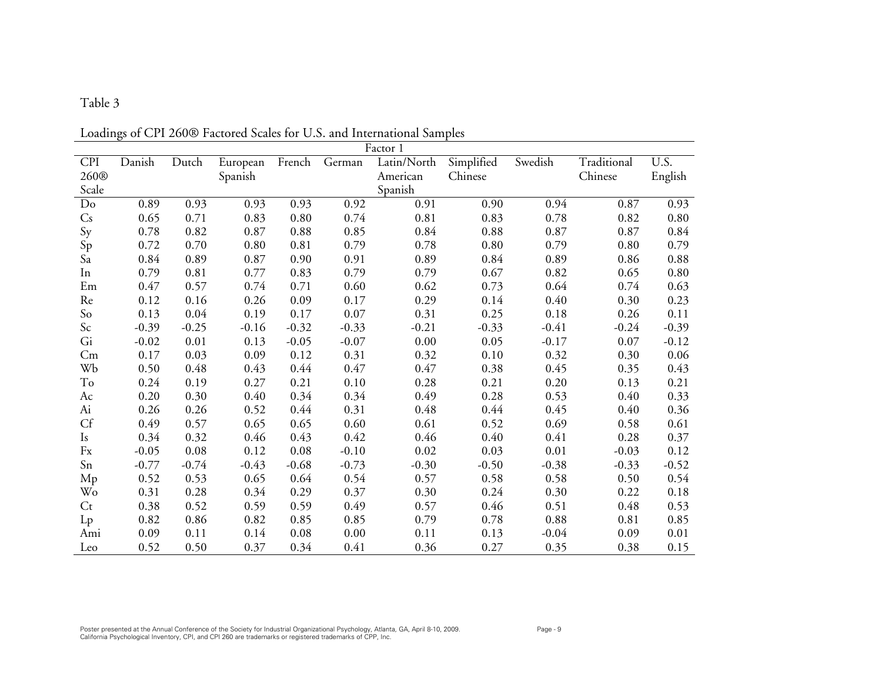|                  |         |         |          |            |         | of Off 2000 Tactored ocales for Old, and international oaim<br>Factor 1 |            |         |             |         |
|------------------|---------|---------|----------|------------|---------|-------------------------------------------------------------------------|------------|---------|-------------|---------|
| <b>CPI</b>       | Danish  | Dutch   | European | French     | German  | Latin/North                                                             | Simplified | Swedish | Traditional | U.S.    |
| 260 <sup>®</sup> |         |         | Spanish  |            |         | American                                                                | Chinese    |         | Chinese     | English |
| Scale            |         |         |          |            |         | Spanish                                                                 |            |         |             |         |
| Do               | 0.89    | 0.93    | 0.93     | 0.93       | 0.92    | 0.91                                                                    | 0.90       | 0.94    | 0.87        | 0.93    |
| $\mathbb{C}^s$   | 0.65    | 0.71    | 0.83     | 0.80       | 0.74    | 0.81                                                                    | 0.83       | 0.78    | 0.82        | 0.80    |
| Sy               | 0.78    | 0.82    | 0.87     | $\rm 0.88$ | 0.85    | 0.84                                                                    | 0.88       | 0.87    | 0.87        | 0.84    |
| Sp               | 0.72    | 0.70    | 0.80     | 0.81       | 0.79    | 0.78                                                                    | $0.80\,$   | 0.79    | 0.80        | 0.79    |
| Sa               | 0.84    | 0.89    | 0.87     | 0.90       | 0.91    | 0.89                                                                    | 0.84       | 0.89    | 0.86        | 0.88    |
| In               | 0.79    | 0.81    | 0.77     | 0.83       | 0.79    | 0.79                                                                    | 0.67       | 0.82    | 0.65        | 0.80    |
| Em               | 0.47    | 0.57    | 0.74     | 0.71       | 0.60    | 0.62                                                                    | 0.73       | 0.64    | 0.74        | 0.63    |
| Re               | 0.12    | 0.16    | 0.26     | 0.09       | 0.17    | 0.29                                                                    | 0.14       | 0.40    | 0.30        | 0.23    |
| So               | 0.13    | 0.04    | 0.19     | 0.17       | 0.07    | 0.31                                                                    | 0.25       | 0.18    | 0.26        | 0.11    |
| Sc               | $-0.39$ | $-0.25$ | $-0.16$  | $-0.32$    | $-0.33$ | $-0.21$                                                                 | $-0.33$    | $-0.41$ | $-0.24$     | $-0.39$ |
| Gi               | $-0.02$ | 0.01    | 0.13     | $-0.05$    | $-0.07$ | 0.00                                                                    | 0.05       | $-0.17$ | 0.07        | $-0.12$ |
| Cm               | 0.17    | 0.03    | 0.09     | 0.12       | 0.31    | 0.32                                                                    | 0.10       | 0.32    | 0.30        | 0.06    |
| Wb               | 0.50    | 0.48    | 0.43     | 0.44       | 0.47    | 0.47                                                                    | 0.38       | 0.45    | 0.35        | 0.43    |
| To               | 0.24    | 0.19    | 0.27     | 0.21       | 0.10    | 0.28                                                                    | 0.21       | 0.20    | 0.13        | 0.21    |
| Ac               | 0.20    | 0.30    | 0.40     | 0.34       | 0.34    | 0.49                                                                    | 0.28       | 0.53    | 0.40        | 0.33    |
| Ai               | 0.26    | 0.26    | 0.52     | 0.44       | 0.31    | 0.48                                                                    | 0.44       | 0.45    | 0.40        | 0.36    |
| Cf               | 0.49    | 0.57    | 0.65     | 0.65       | 0.60    | 0.61                                                                    | 0.52       | 0.69    | 0.58        | 0.61    |
| Is               | 0.34    | 0.32    | 0.46     | 0.43       | 0.42    | 0.46                                                                    | 0.40       | 0.41    | 0.28        | 0.37    |
| Fx               | $-0.05$ | 0.08    | 0.12     | 0.08       | $-0.10$ | 0.02                                                                    | 0.03       | 0.01    | $-0.03$     | 0.12    |
| Sn               | $-0.77$ | $-0.74$ | $-0.43$  | $-0.68$    | $-0.73$ | $-0.30$                                                                 | $-0.50$    | $-0.38$ | $-0.33$     | $-0.52$ |
| Mp               | 0.52    | 0.53    | 0.65     | 0.64       | 0.54    | 0.57                                                                    | 0.58       | 0.58    | 0.50        | 0.54    |
| Wo               | 0.31    | 0.28    | 0.34     | 0.29       | 0.37    | 0.30                                                                    | 0.24       | 0.30    | 0.22        | 0.18    |
| Ct               | 0.38    | 0.52    | 0.59     | 0.59       | 0.49    | 0.57                                                                    | 0.46       | 0.51    | 0.48        | 0.53    |
| $L_{p}$          | 0.82    | 0.86    | 0.82     | 0.85       | 0.85    | 0.79                                                                    | 0.78       | 0.88    | 0.81        | 0.85    |
| Ami              | 0.09    | 0.11    | 0.14     | 0.08       | 0.00    | 0.11                                                                    | 0.13       | $-0.04$ | 0.09        | 0.01    |
| Leo              | 0.52    | 0.50    | 0.37     | 0.34       | 0.41    | 0.36                                                                    | 0.27       | 0.35    | 0.38        | 0.15    |

Loadings of CPI 260® Factored Scales for U.S. and International Samples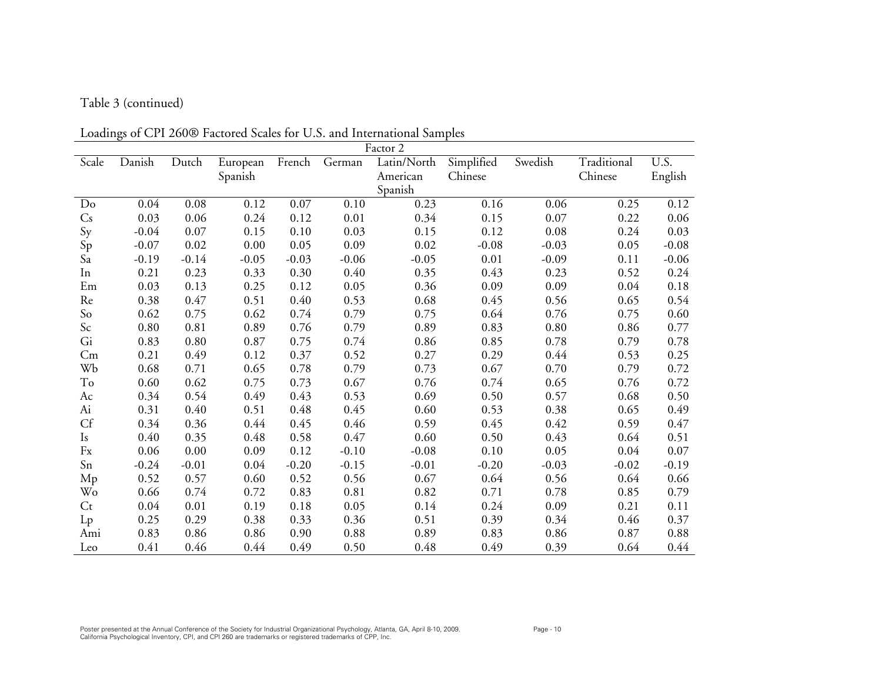## Table 3 (continued)

Loadings of CPI 260® Factored Scales for U.S. and International Samples

| Factor 2               |         |         |          |         |         |             |            |         |             |         |
|------------------------|---------|---------|----------|---------|---------|-------------|------------|---------|-------------|---------|
| Scale                  | Danish  | Dutch   | European | French  | German  | Latin/North | Simplified | Swedish | Traditional | U.S.    |
|                        |         |         | Spanish  |         |         | American    | Chinese    |         | Chinese     | English |
|                        |         |         |          |         |         | Spanish     |            |         |             |         |
| Do                     | 0.04    | 0.08    | 0.12     | 0.07    | 0.10    | 0.23        | 0.16       | 0.06    | 0.25        | 0.12    |
| $\mathsf{C}\mathsf{s}$ | 0.03    | 0.06    | 0.24     | 0.12    | 0.01    | 0.34        | 0.15       | 0.07    | 0.22        | 0.06    |
| Sy                     | $-0.04$ | 0.07    | 0.15     | 0.10    | 0.03    | 0.15        | 0.12       | 0.08    | 0.24        | 0.03    |
| Sp                     | $-0.07$ | 0.02    | 0.00     | 0.05    | 0.09    | 0.02        | $-0.08$    | $-0.03$ | 0.05        | $-0.08$ |
| Sa                     | $-0.19$ | $-0.14$ | $-0.05$  | $-0.03$ | $-0.06$ | $-0.05$     | 0.01       | $-0.09$ | 0.11        | $-0.06$ |
| In                     | 0.21    | 0.23    | 0.33     | 0.30    | 0.40    | 0.35        | 0.43       | 0.23    | 0.52        | 0.24    |
| Em                     | 0.03    | 0.13    | 0.25     | 0.12    | 0.05    | 0.36        | 0.09       | 0.09    | 0.04        | 0.18    |
| Re                     | 0.38    | 0.47    | 0.51     | 0.40    | 0.53    | 0.68        | 0.45       | 0.56    | 0.65        | 0.54    |
| So                     | 0.62    | 0.75    | 0.62     | 0.74    | 0.79    | 0.75        | 0.64       | 0.76    | 0.75        | 0.60    |
| Sc                     | 0.80    | 0.81    | 0.89     | 0.76    | 0.79    | 0.89        | 0.83       | 0.80    | 0.86        | 0.77    |
| Gi                     | 0.83    | 0.80    | 0.87     | 0.75    | 0.74    | 0.86        | 0.85       | 0.78    | 0.79        | 0.78    |
| Cm                     | 0.21    | 0.49    | 0.12     | 0.37    | 0.52    | 0.27        | 0.29       | 0.44    | 0.53        | 0.25    |
| Wb                     | 0.68    | 0.71    | 0.65     | 0.78    | 0.79    | 0.73        | 0.67       | 0.70    | 0.79        | 0.72    |
| To                     | 0.60    | 0.62    | 0.75     | 0.73    | 0.67    | 0.76        | 0.74       | 0.65    | 0.76        | 0.72    |
| Ac                     | 0.34    | 0.54    | 0.49     | 0.43    | 0.53    | 0.69        | 0.50       | 0.57    | 0.68        | 0.50    |
| Ai                     | 0.31    | 0.40    | 0.51     | 0.48    | 0.45    | 0.60        | 0.53       | 0.38    | 0.65        | 0.49    |
| Cf                     | 0.34    | 0.36    | 0.44     | 0.45    | 0.46    | 0.59        | 0.45       | 0.42    | 0.59        | 0.47    |
| Is                     | 0.40    | 0.35    | 0.48     | 0.58    | 0.47    | 0.60        | 0.50       | 0.43    | 0.64        | 0.51    |
| Fx                     | 0.06    | 0.00    | 0.09     | 0.12    | $-0.10$ | $-0.08$     | 0.10       | 0.05    | 0.04        | 0.07    |
| Sn                     | $-0.24$ | $-0.01$ | 0.04     | $-0.20$ | $-0.15$ | $-0.01$     | $-0.20$    | $-0.03$ | $-0.02$     | $-0.19$ |
| Mp                     | 0.52    | 0.57    | 0.60     | 0.52    | 0.56    | 0.67        | 0.64       | 0.56    | 0.64        | 0.66    |
| Wo                     | 0.66    | 0.74    | 0.72     | 0.83    | 0.81    | 0.82        | 0.71       | 0.78    | 0.85        | 0.79    |
| $C_{t}$                | 0.04    | 0.01    | 0.19     | 0.18    | 0.05    | 0.14        | 0.24       | 0.09    | 0.21        | 0.11    |
| $L_{p}$                | 0.25    | 0.29    | 0.38     | 0.33    | 0.36    | 0.51        | 0.39       | 0.34    | 0.46        | 0.37    |
| Ami                    | 0.83    | 0.86    | 0.86     | 0.90    | 0.88    | 0.89        | 0.83       | 0.86    | 0.87        | 0.88    |
| Leo                    | 0.41    | 0.46    | 0.44     | 0.49    | 0.50    | 0.48        | 0.49       | 0.39    | 0.64        | 0.44    |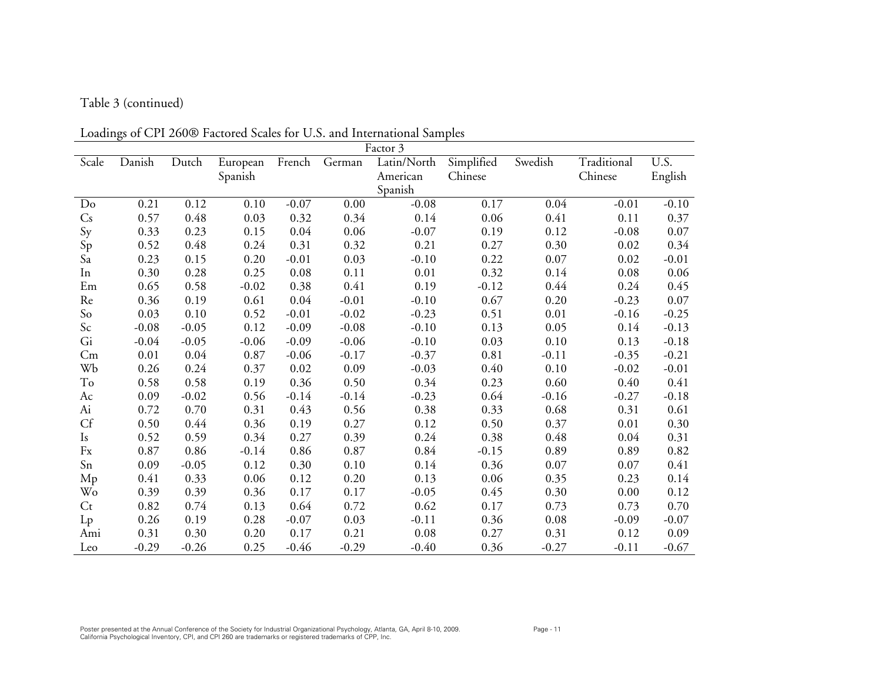# Table 3 (continued)

Loadings of CPI 260® Factored Scales for U.S. and International Samples

|         |         |         |          |         |         | boutings of GTT 2000 Tuetored beares for GTGT and international bampies<br>Factor 3 |            |         |             |         |
|---------|---------|---------|----------|---------|---------|-------------------------------------------------------------------------------------|------------|---------|-------------|---------|
| Scale   | Danish  | Dutch   | European | French  | German  | Latin/North                                                                         | Simplified | Swedish | Traditional | U.S.    |
|         |         |         | Spanish  |         |         | American                                                                            | Chinese    |         | Chinese     | English |
|         |         |         |          |         |         | Spanish                                                                             |            |         |             |         |
| Do      | 0.21    | 0.12    | 0.10     | $-0.07$ | 0.00    | $-0.08$                                                                             | 0.17       | 0.04    | $-0.01$     | $-0.10$ |
| Cs      | 0.57    | 0.48    | 0.03     | 0.32    | 0.34    | 0.14                                                                                | 0.06       | 0.41    | 0.11        | 0.37    |
| Sy      | 0.33    | 0.23    | 0.15     | 0.04    | 0.06    | $-0.07$                                                                             | 0.19       | 0.12    | $-0.08$     | 0.07    |
| Sp      | 0.52    | 0.48    | 0.24     | 0.31    | 0.32    | 0.21                                                                                | 0.27       | 0.30    | 0.02        | 0.34    |
| Sa      | 0.23    | 0.15    | 0.20     | $-0.01$ | 0.03    | $-0.10$                                                                             | 0.22       | 0.07    | 0.02        | $-0.01$ |
| In      | 0.30    | 0.28    | 0.25     | 0.08    | 0.11    | 0.01                                                                                | 0.32       | 0.14    | 0.08        | 0.06    |
| Em      | 0.65    | 0.58    | $-0.02$  | 0.38    | 0.41    | 0.19                                                                                | $-0.12$    | 0.44    | 0.24        | 0.45    |
| Re      | 0.36    | 0.19    | 0.61     | 0.04    | $-0.01$ | $-0.10$                                                                             | 0.67       | 0.20    | $-0.23$     | 0.07    |
| So      | 0.03    | 0.10    | 0.52     | $-0.01$ | $-0.02$ | $-0.23$                                                                             | 0.51       | 0.01    | $-0.16$     | $-0.25$ |
| Sc      | $-0.08$ | $-0.05$ | 0.12     | $-0.09$ | $-0.08$ | $-0.10$                                                                             | 0.13       | 0.05    | 0.14        | $-0.13$ |
| Gi      | $-0.04$ | $-0.05$ | $-0.06$  | $-0.09$ | $-0.06$ | $-0.10$                                                                             | 0.03       | 0.10    | 0.13        | $-0.18$ |
| Cm      | 0.01    | 0.04    | 0.87     | $-0.06$ | $-0.17$ | $-0.37$                                                                             | 0.81       | $-0.11$ | $-0.35$     | $-0.21$ |
| Wb      | 0.26    | 0.24    | 0.37     | 0.02    | 0.09    | $-0.03$                                                                             | 0.40       | 0.10    | $-0.02$     | $-0.01$ |
| To      | 0.58    | 0.58    | 0.19     | 0.36    | 0.50    | 0.34                                                                                | 0.23       | 0.60    | 0.40        | 0.41    |
| Ac      | 0.09    | $-0.02$ | 0.56     | $-0.14$ | $-0.14$ | $-0.23$                                                                             | 0.64       | $-0.16$ | $-0.27$     | $-0.18$ |
| Ai      | 0.72    | 0.70    | 0.31     | 0.43    | 0.56    | 0.38                                                                                | 0.33       | 0.68    | 0.31        | 0.61    |
| Cf      | 0.50    | 0.44    | 0.36     | 0.19    | 0.27    | 0.12                                                                                | 0.50       | 0.37    | 0.01        | 0.30    |
| Is      | 0.52    | 0.59    | 0.34     | 0.27    | 0.39    | 0.24                                                                                | 0.38       | 0.48    | 0.04        | 0.31    |
| Fx      | 0.87    | 0.86    | $-0.14$  | 0.86    | 0.87    | 0.84                                                                                | $-0.15$    | 0.89    | 0.89        | 0.82    |
| Sn      | 0.09    | $-0.05$ | 0.12     | 0.30    | 0.10    | 0.14                                                                                | 0.36       | 0.07    | 0.07        | 0.41    |
| Mp      | 0.41    | 0.33    | 0.06     | 0.12    | 0.20    | 0.13                                                                                | 0.06       | 0.35    | 0.23        | 0.14    |
| Wo      | 0.39    | 0.39    | 0.36     | 0.17    | 0.17    | $-0.05$                                                                             | 0.45       | 0.30    | 0.00        | 0.12    |
| $C_{t}$ | 0.82    | 0.74    | 0.13     | 0.64    | 0.72    | 0.62                                                                                | 0.17       | 0.73    | 0.73        | 0.70    |
| $L_{p}$ | 0.26    | 0.19    | 0.28     | $-0.07$ | 0.03    | $-0.11$                                                                             | 0.36       | 0.08    | $-0.09$     | $-0.07$ |
| Ami     | 0.31    | 0.30    | 0.20     | 0.17    | 0.21    | 0.08                                                                                | 0.27       | 0.31    | 0.12        | 0.09    |
| Leo     | $-0.29$ | $-0.26$ | 0.25     | $-0.46$ | $-0.29$ | $-0.40$                                                                             | 0.36       | $-0.27$ | $-0.11$     | $-0.67$ |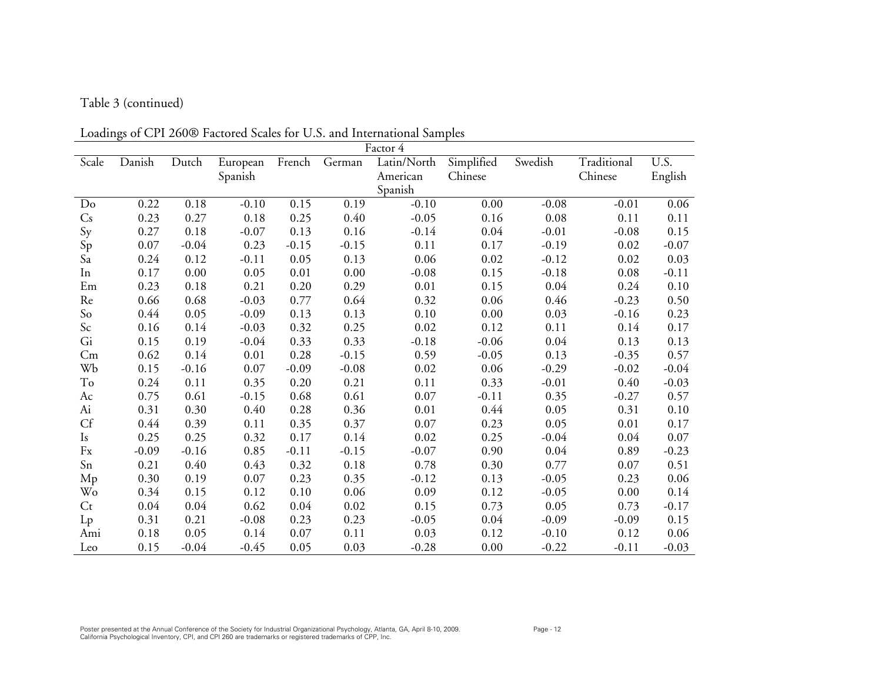# Table 3 (continued)

Loadings of CPI 260® Factored Scales for U.S. and International Samples

|         | of Crit 2000 Tuelored ocures for Cio, and international outliples<br>Factor 4 |         |          |         |         |             |            |         |             |          |  |  |
|---------|-------------------------------------------------------------------------------|---------|----------|---------|---------|-------------|------------|---------|-------------|----------|--|--|
| Scale   | Danish                                                                        | Dutch   | European | French  | German  | Latin/North | Simplified | Swedish | Traditional | U.S.     |  |  |
|         |                                                                               |         | Spanish  |         |         | American    | Chinese    |         | Chinese     | English  |  |  |
|         |                                                                               |         |          |         |         | Spanish     |            |         |             |          |  |  |
| Do      | 0.22                                                                          | 0.18    | $-0.10$  | 0.15    | 0.19    | $-0.10$     | 0.00       | $-0.08$ | $-0.01$     | 0.06     |  |  |
| Cs      | 0.23                                                                          | 0.27    | 0.18     | 0.25    | 0.40    | $-0.05$     | 0.16       | 0.08    | 0.11        | 0.11     |  |  |
| Sy      | 0.27                                                                          | 0.18    | $-0.07$  | 0.13    | 0.16    | $-0.14$     | 0.04       | $-0.01$ | $-0.08$     | 0.15     |  |  |
| Sp      | 0.07                                                                          | $-0.04$ | 0.23     | $-0.15$ | $-0.15$ | 0.11        | 0.17       | $-0.19$ | 0.02        | $-0.07$  |  |  |
| Sa      | 0.24                                                                          | 0.12    | $-0.11$  | 0.05    | 0.13    | 0.06        | 0.02       | $-0.12$ | 0.02        | 0.03     |  |  |
| In      | 0.17                                                                          | 0.00    | 0.05     | 0.01    | 0.00    | $-0.08$     | 0.15       | $-0.18$ | 0.08        | $-0.11$  |  |  |
| Em      | 0.23                                                                          | 0.18    | 0.21     | 0.20    | 0.29    | 0.01        | 0.15       | 0.04    | 0.24        | 0.10     |  |  |
| Re      | 0.66                                                                          | 0.68    | $-0.03$  | 0.77    | 0.64    | 0.32        | 0.06       | 0.46    | $-0.23$     | 0.50     |  |  |
| So      | 0.44                                                                          | 0.05    | $-0.09$  | 0.13    | 0.13    | 0.10        | 0.00       | 0.03    | $-0.16$     | 0.23     |  |  |
| Sc      | 0.16                                                                          | 0.14    | $-0.03$  | 0.32    | 0.25    | 0.02        | 0.12       | 0.11    | 0.14        | 0.17     |  |  |
| Gi      | 0.15                                                                          | 0.19    | $-0.04$  | 0.33    | 0.33    | $-0.18$     | $-0.06$    | 0.04    | 0.13        | 0.13     |  |  |
| Cm      | 0.62                                                                          | 0.14    | 0.01     | 0.28    | $-0.15$ | 0.59        | $-0.05$    | 0.13    | $-0.35$     | 0.57     |  |  |
| Wb      | 0.15                                                                          | $-0.16$ | 0.07     | $-0.09$ | $-0.08$ | 0.02        | 0.06       | $-0.29$ | $-0.02$     | $-0.04$  |  |  |
| To      | 0.24                                                                          | 0.11    | 0.35     | 0.20    | 0.21    | 0.11        | 0.33       | $-0.01$ | 0.40        | $-0.03$  |  |  |
| Ac      | 0.75                                                                          | 0.61    | $-0.15$  | 0.68    | 0.61    | 0.07        | $-0.11$    | 0.35    | $-0.27$     | 0.57     |  |  |
| Ai      | 0.31                                                                          | 0.30    | 0.40     | 0.28    | 0.36    | 0.01        | 0.44       | 0.05    | 0.31        | 0.10     |  |  |
| Cf      | 0.44                                                                          | 0.39    | 0.11     | 0.35    | 0.37    | 0.07        | 0.23       | 0.05    | 0.01        | 0.17     |  |  |
| Is      | 0.25                                                                          | 0.25    | 0.32     | 0.17    | 0.14    | 0.02        | 0.25       | $-0.04$ | 0.04        | $0.07\,$ |  |  |
| Fx      | $-0.09$                                                                       | $-0.16$ | 0.85     | $-0.11$ | $-0.15$ | $-0.07$     | 0.90       | 0.04    | 0.89        | $-0.23$  |  |  |
| Sn      | 0.21                                                                          | 0.40    | 0.43     | 0.32    | 0.18    | 0.78        | 0.30       | 0.77    | 0.07        | 0.51     |  |  |
| Mp      | 0.30                                                                          | 0.19    | 0.07     | 0.23    | 0.35    | $-0.12$     | 0.13       | $-0.05$ | 0.23        | 0.06     |  |  |
| Wo      | 0.34                                                                          | 0.15    | 0.12     | 0.10    | 0.06    | 0.09        | 0.12       | $-0.05$ | 0.00        | 0.14     |  |  |
| $C_{t}$ | 0.04                                                                          | 0.04    | 0.62     | 0.04    | 0.02    | 0.15        | 0.73       | 0.05    | 0.73        | $-0.17$  |  |  |
| $L_{p}$ | 0.31                                                                          | 0.21    | $-0.08$  | 0.23    | 0.23    | $-0.05$     | 0.04       | $-0.09$ | $-0.09$     | 0.15     |  |  |
| Ami     | 0.18                                                                          | 0.05    | 0.14     | 0.07    | 0.11    | 0.03        | 0.12       | $-0.10$ | 0.12        | 0.06     |  |  |
| Leo     | 0.15                                                                          | $-0.04$ | $-0.45$  | 0.05    | 0.03    | $-0.28$     | 0.00       | $-0.22$ | $-0.11$     | $-0.03$  |  |  |